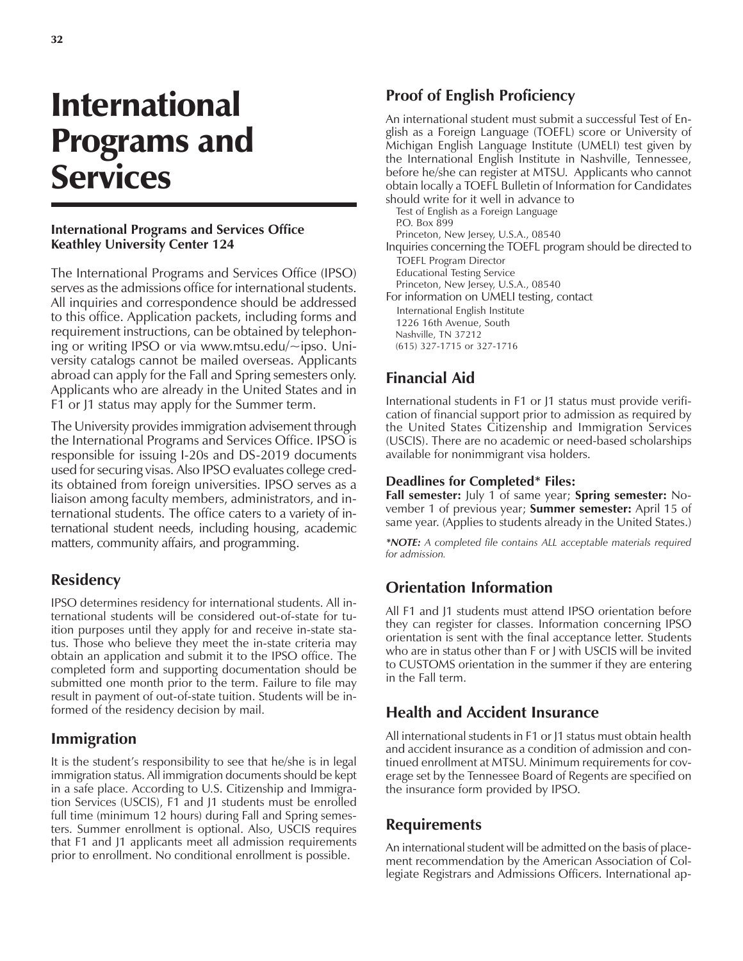# International Programs and **Services**

#### **International Programs and Services Office Keathley University Center 124**

The International Programs and Services Office (IPSO) serves as the admissions office for international students. All inquiries and correspondence should be addressed to this office. Application packets, including forms and requirement instructions, can be obtained by telephoning or writing IPSO or via www.mtsu.edu/~ipso. University catalogs cannot be mailed overseas. Applicants abroad can apply for the Fall and Spring semesters only. Applicants who are already in the United States and in F1 or J1 status may apply for the Summer term.

The University provides immigration advisement through the International Programs and Services Office. IPSO is responsible for issuing I-20s and DS-2019 documents used for securing visas. Also IPSO evaluates college credits obtained from foreign universities. IPSO serves as a liaison among faculty members, administrators, and international students. The office caters to a variety of international student needs, including housing, academic matters, community affairs, and programming.

## **Residency**

IPSO determines residency for international students. All international students will be considered out-of-state for tuition purposes until they apply for and receive in-state status. Those who believe they meet the in-state criteria may obtain an application and submit it to the IPSO office. The completed form and supporting documentation should be submitted one month prior to the term. Failure to file may result in payment of out-of-state tuition. Students will be informed of the residency decision by mail.

## **Immigration**

It is the student's responsibility to see that he/she is in legal immigration status. All immigration documents should be kept in a safe place. According to U.S. Citizenship and Immigration Services (USCIS), F1 and J1 students must be enrolled full time (minimum 12 hours) during Fall and Spring semesters. Summer enrollment is optional. Also, USCIS requires that F1 and J1 applicants meet all admission requirements prior to enrollment. No conditional enrollment is possible.

# **Proof of English Proficiency**

An international student must submit a successful Test of English as a Foreign Language (TOEFL) score or University of Michigan English Language Institute (UMELI) test given by the International English Institute in Nashville, Tennessee, before he/she can register at MTSU. Applicants who cannot obtain locally a TOEFL Bulletin of Information for Candidates should write for it well in advance to

Test of English as a Foreign Language P.O. Box 899 Princeton, New Jersey, U.S.A., 08540 Inquiries concerning the TOEFL program should be directed to TOEFL Program Director Educational Testing Service Princeton, New Jersey, U.S.A., 08540 For information on UMELI testing, contact International English Institute 1226 16th Avenue, South Nashville, TN 37212 (615) 327-1715 or 327-1716

# **Financial Aid**

International students in F1 or J1 status must provide verification of financial support prior to admission as required by the United States Citizenship and Immigration Services (USCIS). There are no academic or need-based scholarships available for nonimmigrant visa holders.

#### **Deadlines for Completed\* Files:**

**Fall semester:** July 1 of same year; **Spring semester:** November 1 of previous year; **Summer semester:** April 15 of same year. (Applies to students already in the United States.)

*\*NOTE: A completed file contains ALL acceptable materials required for admission.*

# **Orientation Information**

All F1 and J1 students must attend IPSO orientation before they can register for classes. Information concerning IPSO orientation is sent with the final acceptance letter. Students who are in status other than F or J with USCIS will be invited to CUSTOMS orientation in the summer if they are entering in the Fall term.

## **Health and Accident Insurance**

All international students in F1 or J1 status must obtain health and accident insurance as a condition of admission and continued enrollment at MTSU. Minimum requirements for coverage set by the Tennessee Board of Regents are specified on the insurance form provided by IPSO.

## **Requirements**

An international student will be admitted on the basis of placement recommendation by the American Association of Collegiate Registrars and Admissions Officers. International ap